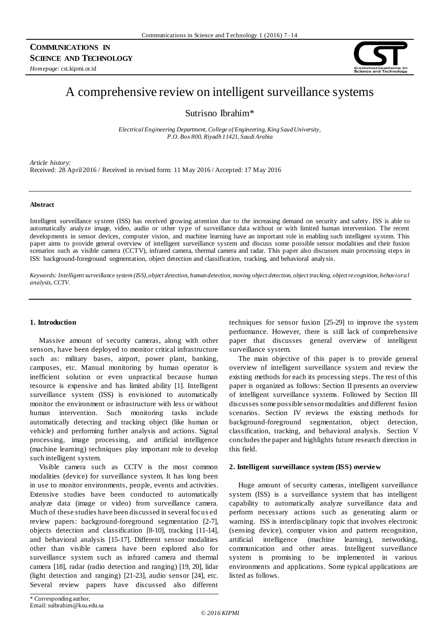# **COMMUNICATIONS IN SCIENCE AND TECHNOLOGY**

*Homepage:* cst.kipmi.or.id



# A comprehensive review on intelligent surveillance systems

Sutrisno Ibrahim\*

*Electrical Engineering Department, College of Engineering, King Saud University, P.O. Box 800, Riyadh 11421, Saudi Arabia*

*Article history:* Received: 28 April 2016 / Received in revised form: 11 May 2016 / Accepted: 17 May 2016

#### **Abstract**

Intelligent surveillance system (ISS) has received growing attention due to the increasing demand on security and safety. ISS is able to automatically analyze image, video, audio or other type of surveillance data without or with limited human intervention. The recent developments in sensor devices, computer vision, and machine learning have an important role in enabling such intelligent system. This paper aims to provide general overview of intelligent surveillance system and discuss some possible sensor modalities and their fusion scenarios such as visible camera (CCTV), infrared camera, thermal camera and radar. This paper also discusses main processing steps in ISS: background-foreground segmentation, object detection and classification, tracking, and behavioral analysis.

*Keywords: Intelligent surveillance system (ISS), object detection, human detection, moving object detection, object tracking, object recognition, behaviora l analysis, CCTV*.

# **1. Introduction**

Massive amount of security cameras, along with other sensors, have been deployed to monitor critical infrastructure such as: military bases, airport, power plant, banking, campuses, etc. Manual monitoring by human operator is inefficient solution or even unpractical because human resource is expensive and has limited ability [1]. Intelligent surveillance system (ISS) is envisioned to automatically monitor the environment or infrastructure with less or without human intervention. Such monitoring tasks include automatically detecting and tracking object (like human or vehicle) and performing further analysis and actions. Signal processing, image processing, and artificial intelligence (machine learning) techniques play important role to develop such intelligent system.

Visible camera such as CCTV is the most common modalities (device) for surveillance system. It has long been in use to monitor environments, people, events and activities. Extensive studies have been conducted to automatically analyze data (image or video) from surveillance camera. Much of these studies have been discussed in several focus ed review papers: background-foreground segmentation [2-7], objects detection and classification [8-10], tracking [11-14], and behavioral analysis [15-17]. Different sensor modalities other than visible camera have been explored also for surveillance system such as infrared camera and thermal camera [18], radar (radio detection and ranging) [19, 20], lidar (light detection and ranging) [21-23], audio sensor [24], etc. Several review papers have discussed also different techniques for sensor fusion [25-29] to improve the system performance. However, there is still lack of comprehensive paper that discusses general overview of intelligent surveillance system.

The main objective of this paper is to provide general overview of intelligent surveillance system and review the existing methods for each its processing steps. The rest of this paper is organized as follows: Section II presents an overview of intelligent surveillance systems. Followed by Section III discusses some possible sensor modalities and different fusion scenarios. Section IV reviews the existing methods for background-foreground segmentation, object detection, classification, tracking, and behavioral analysis. Section V concludes the paper and highlights future research direction in this field.

# **2. Intelligent surveillance system (ISS) overview**

Huge amount of security cameras, intelligent surveillance system (ISS) is a surveillance system that has intelligent capability to automatically analyze surveillance data and perform necessary actions such as generating alarm or warning. ISS is interdisciplinary topic that involves electronic (sensing device), computer vision and pattern recognition, artificial intelligence (machine learning), networking, communication and other areas. Intelligent surveillance system is promising to be implemented in various environments and applications. Some typical applications are listed as follows.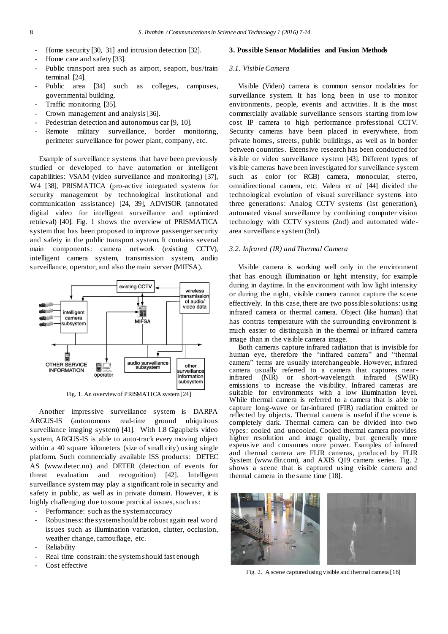- Home security [30, 31] and intrusion detection [32].
- Home care and safety [33].
- Public transport area such as airport, seaport, bus/train terminal [24].
- Public area [34] such as colleges, campuses, governmental building.
- Traffic monitoring [35].
- Crown management and analysis [36].
- Pedestrian detection and autonomous car [9, 10].
- Remote military surveillance, border monitoring, perimeter surveillance for power plant, company, etc.

Example of surveillance systems that have been previously studied or developed to have automation or intelligent capabilities: VSAM (video surveillance and monitoring) [37], W4 [38], PRISMATICA (pro-active integrated systems for security management by technological institutional and communication assistance) [24, 39], ADVISOR (annotated digital video for intelligent surveillance and optimized retrieval) [40]. Fig. 1 shows the overview of PRISMATICA system that has been proposed to improve passenger security and safety in the public transport system. It contains several main components: camera network (existing CCTV), intelligent camera system, transmission system, audio surveillance, operator, and also the main server (MIFSA).



Fig. 1. An overview of PRISMATICA system [24]

Another impressive surveillance system is DARPA ARGUS-IS (autonomous real-time ground ubiquitous surveillance imaging system) [41]. With 1.8 Gigapixels video system, ARGUS-IS is able to auto-track every moving object within a 40 square kilometers (size of small city) using single platform. Such commercially available ISS products: DETEC AS (www.detec.no) and DETER (detection of events for threat evaluation and recognition) [42]. Intelligent surveillance system may play a significant role in security and safety in public, as well as in private domain. However, it is highly challenging due to some practical issues, such as:

- Performance: such as the system accuracy
- Robustness: the system should be robust again real word issues such as illumination variation, clutter, occlusion, weather change, camouflage, etc.
- **Reliability**
- Real time constrain: the system should fast enough
- Cost effective

#### **3. Possible Sensor Modalities and Fusion Methods**

#### *3.1. Visible Camera*

Visible (Video) camera is common sensor modalities for surveillance system. It has long been in use to monitor environments, people, events and activities. It is the most commercially available surveillance sensors starting from low cost IP camera to high performance professional CCTV. Security cameras have been placed in everywhere, from private homes, streets, public buildings, as well as in border between countries. Extensive research has been conducted for visible or video surveillance system [43]. Different types of visible cameras have been investigated for surveillance system such as color (or RGB) camera, monocular, stereo, omnidirectional camera, etc. Valera *et al* [44] divided the technological evolution of visual surveillance systems into three generations: Analog CCTV systems (1st generation), automated visual surveillance by combining computer vision technology with CCTV systems (2nd) and automated widearea surveillance system (3rd).

#### *3.2. Infrared (IR) and Thermal Camera*

Visible camera is working well only in the environment that has enough illumination or light intensity, for example during in daytime. In the environment with low light intensity or during the night, visible camera cannot capture the scene effectively. In this case, there are two possible solutions: using infrared camera or thermal camera. Object (like human) that has contras temperature with the surrounding environment is much easier to distinguish in the thermal or infrared camera image than in the visible camera image.

Both cameras capture infrared radiation that is invisible for human eye, therefore the "infrared camera" and "thermal camera" terms are usually interchangeable. However, infrared camera usually referred to a camera that captures nearinfrared (NIR) or short-wavelength infrared (SWIR) emissions to increase the visibility. Infrared cameras are suitable for environments with a low illumination level. While thermal camera is referred to a camera that is able to capture long-wave or far-infrared (FIR) radiation emitted or reflected by objects. Thermal camera is useful if the scene is completely dark. Thermal camera can be divided into two types: cooled and uncooled. Cooled thermal camera provides higher resolution and image quality, but generally more expensive and consumes more power. Examples of infrared and thermal camera are FLIR cameras, produced by FLIR System (www.flir.com), and AXIS Q19 camera series. Fig. 2 shows a scene that is captured using visible camera and thermal camera in the same time [18].



Fig. 2. A scene captured using visible and thermal camera [18]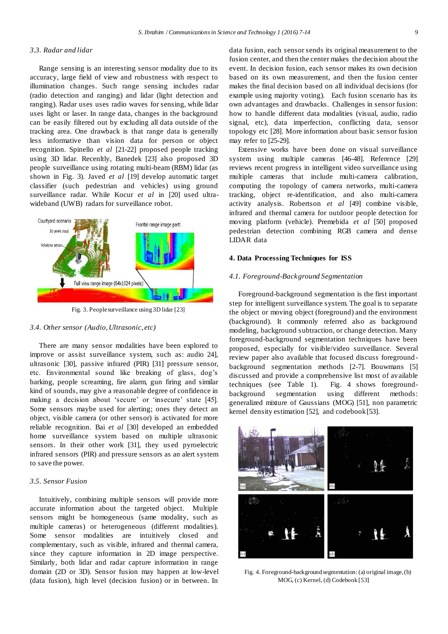#### *3.3. Radar and lidar*

Range sensing is an interesting sensor modality due to its accuracy, large field of view and robustness with respect to illumination changes. Such range sensing includes radar (radio detection and ranging) and lidar (light detection and ranging). Radar uses uses radio waves for sensing, while lidar uses light or laser. In range data, changes in the background can be easily filtered out by excluding all data outside of the tracking area. One drawback is that range data is generally less informative than vision data for person or object recognition. Spinello *et al* [21-22] proposed people tracking using 3D lidar. Recenltly, Banedek [23] also proposed 3D people surveillance using rotating multi-beam (RBM) lidar (as shown in Fig. 3). Javed *et al* [19] develop automatic target classifier (such pedestrian and vehicles) using ground surveillance radar. While Kocur *et al* in [20] used ultrawideband (UWB) radars for surveillance robot.



Fig. 3. People surveillance using 3D lidar [23]

#### *3.4. Other sensor (Audio, Ultrasonic, etc)*

There are many sensor modalities have been explored to improve or assist surveillance system, such as: audio 24], ultrasonic [30], passive infrared (PIR) [31] pressure sensor, etc. Environmental sound like breaking of glass, dog's barking, people screaming, fire alarm, gun firing and similar kind of sounds, may give a reasonable degree of confidence in making a decision about 'secure' or 'insecure' state [45]. Some sensors maybe used for alerting; ones they detect an object, visible camera (or other sensor) is activated for more reliable recognition. Bai *et al* [30] developed an embedded home surveillance system based on multiple ultrasonic sensors. In their other work [31], they us ed pyroelectric infrared sensors (PIR) and pressure sensors as an alert system to save the power.

#### *3.5. Sensor Fusion*

Intuitively, combining multiple sensors will provide more accurate information about the targeted object. Multiple sensors might be homogeneous (same modality, such as multiple cameras) or heterogeneous (different modalities). Some sensor modalities are intuitively closed and complementary, such as visible, infrared and thermal camera, since they capture information in 2D image perspective. Similarly, both lidar and radar capture information in range domain (2D or 3D). Sensor fusion may happen at low-level (data fusion), high level (decision fusion) or in between. In data fusion, each sensor sends its original measurement to the fusion center, and then the center makes the decision about the event. In decision fusion, each sensor makes its own decision based on its own measurement, and then the fusion center makes the final decision based on all individual decisions (for example using majority voting). Each fusion scenario has its own advantages and drawbacks. Challenges in sensor fusion: how to handle different data modalities (visual, audio, radio signal, etc), data imperfection, conflicting data, sensor topology etc [28]. More information about basic sensor fusion may refer to [25-29].

Extensive works have been done on visual surveillance system using multiple cameras [46-48]. Reference [29] reviews recent progress in intelligent video surveillance using multiple cameras that include multi-camera calibration, computing the topology of camera networks, multi-camera tracking, object re-identification, and also multi-camera activity analysis. Robertson *et al* [49] combine visible, infrared and thermal camera for outdoor people detection for moving platform (vehicle). Premebida *et al* [50] proposed pedestrian detection combining RGB camera and dense LIDAR data

#### **4. Data Processing Techniques for ISS**

#### *4.1. Foreground-Background Segmentation*

Foreground-background segmentation is the first important step for intelligent surveillance system. The goal is to separate the object or moving object (foreground) and the environment (background). It commonly referred also as background modeling, background subtraction, or change detection. Many foreground-background segmentation techniques have been proposed, especially for visible/video surveillance. Several review paper also available that focused discuss foregroundbackground segmentation methods [2-7]. Bouwmans [5] discussed and provide a comprehensive list most of available techniques (see Table 1). Fig. 4 shows foregroundbackground segmentation using different methods: generalized mixture of Gaussians (MOG) [51], non parametric kernel density estimation [52], and codebook [53].



Fig. 4. Foreground-background segmentation: (a) original image, (b) MOG, (c) Kernel, (d) Codebook [53]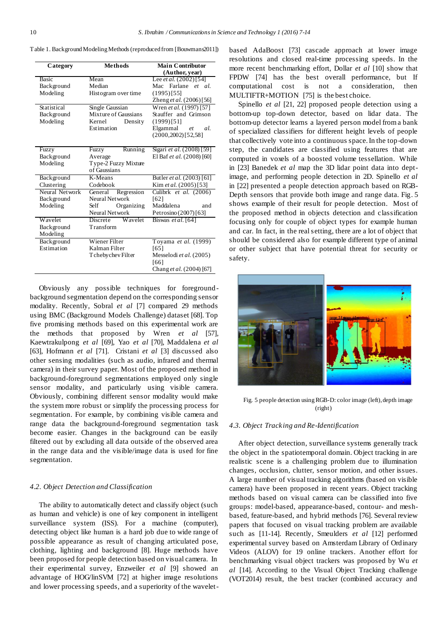| Category       | <b>Methods</b>        | <b>Main Contributor</b>         |
|----------------|-----------------------|---------------------------------|
|                |                       | (Author, year)                  |
| <b>Basic</b>   | Mean                  | Lee <i>et al.</i> $(2002)$ [54] |
| Background     | Median                | Mac Farlane et al.              |
| Modeling       | Histogram over time   | $(1995)$ [55]                   |
|                |                       | Zheng et al. (2006)[56]         |
| Statistical    | Single Gaussian       | Wren et al. (1997) [57]         |
| Background     | Mixture of Gaussians  | Stauffer and Grimson            |
| Modeling       | Kernel<br>Density     | (1999)[51]                      |
|                | Estimation            | Elgammal<br>al.<br>et           |
|                |                       | $(2000, 2002)$ [52,58]          |
|                |                       |                                 |
| Fuzzy          | Running<br>Fuzzy      | Sigari et al. (2008) [59]       |
| Background     | Average               | El Baf et al. (2008) [60]       |
| Modeling       | Type-2 Fuzzy Mixture  |                                 |
|                | of Gaussians          |                                 |
| Background     | K-Means               | Butler et al. (2003) [61]       |
| Clustering     | Codebook              | Kim et al. (2005)[53]           |
| Neural Network | Regression<br>General | Culibrk et al. (2006)           |
| Background     | Neural Network        | [62]                            |
| Modeling       | Organizing<br>Self    | Maddalena<br>and                |
|                | Neural Network        | Petrosino (2007) [63]           |
| Wavelet        | Discrete<br>Wavelet   | Biswas $et al. [64]$            |
| Background     | Transform             |                                 |
| Modeling       |                       |                                 |
| Background     | Wiener Filter         | Toyama et al. (1999)            |
| Estimation     | Kalman Filter         | [65]                            |
|                | Tchebychev Filter     | Messelodi et al. (2005)         |
|                |                       | [66]                            |
|                |                       | Chang et al. (2004) [67]        |

Obviously any possible techniques for foregroundbackground segmentation depend on the corresponding sensor modality. Recently, Sobral *et al* [7] compared 29 methods using BMC (Background Models Challenge) dataset [68]. Top five promising methods based on this experimental work are the methods that proposed by Wren *et al* [57], Kaewtrakulpong *et al* [69], Yao *et al* [70], Maddalena *et al* [63], Hofmann *et al* [71]. Cristani *et al* [3] discussed also other sensing modalities (such as audio, infrared and thermal camera) in their survey paper. Most of the proposed method in background-foreground segmentations employed only single sensor modality, and particularly using visible camera. Obviously, combining different sensor modality would make the system more robust or simplify the processing process for segmentation. For example, by combining visible camera and range data the background-foreground segmentation task become easier. Changes in the background can be easily filtered out by excluding all data outside of the observed area in the range data and the visible/image data is used for fine segmentation.

#### *4.2. Object Detection and Classification*

The ability to automatically detect and classify object (such as human and vehicle) is one of key component in intelligent surveillance system (ISS). For a machine (computer), detecting object like human is a hard job due to wide range of possible appearance as result of changing articulated pose, clothing, lighting and background [8]. Huge methods have been proposed for people detection based on visual camera. In their experimental survey, Enzweiler *et al* [9] showed an advantage of HOG/linSVM [72] at higher image resolutions and lower processing speeds, and a superiority of the waveletbased AdaBoost [73] cascade approach at lower image resolutions and closed real-time processing speeds. In the more recent benchmarking effort, Dollar *et al* [10] show that FPDW [74] has the best overall performance, but If computational cost is not a consideration, then MULTIFTR+MOTION [75] is the best choice.

Spinello *et al* [21, 22] proposed people detection using a bottom-up top-down detector, based on lidar data. The bottom-up detector learns a layered person model from a bank of specialized classifiers for different height levels of people that collectively vote into a continuous space. In the top-down step, the candidates are classified using features that are computed in voxels of a boosted volume tessellation. While in [23] Banedek *et al* map the 3D lidar point data into deptimage, and performing people detection in 2D. Spinello *et al* in [22] presented a people detection approach based on RGB-Depth sensors that provide both image and range data. Fig. 5 shows example of their result for people detection. Most of the proposed method in objects detection and classification focusing only for couple of object types for example human and car. In fact, in the real setting, there are a lot of object that should be considered also for example different type of animal or other subject that have potential threat for security or safety.



Fig. 5 people detection using RGB-D: color image (left), depth image (right)

#### *4.3. Object Tracking and Re-Identification*

After object detection, surveillance systems generally track the object in the spatiotemporal domain. Object tracking in are realistic scene is a challenging problem due to illumination changes, occlusion, clutter, sensor motion, and other issues. A large number of visual tracking algorithms (based on visible camera) have been proposed in recent years. Object tracking methods based on visual camera can be classified into five groups: model-based, appearance-based, contour- and meshbased, feature-based, and hybrid methods [76]. Several review papers that focused on visual tracking problem are available such as [11-14]. Recently, Smeulders *et al* [12] performed experimental survey based on Amsterdam Library of Ordinary Videos (ALOV) for 19 online trackers. Another effort for benchmarking visual object trackers was proposed by Wu *et al* [14]. According to the Visual Object Tracking challenge (VOT2014) result, the best tracker (combined accuracy and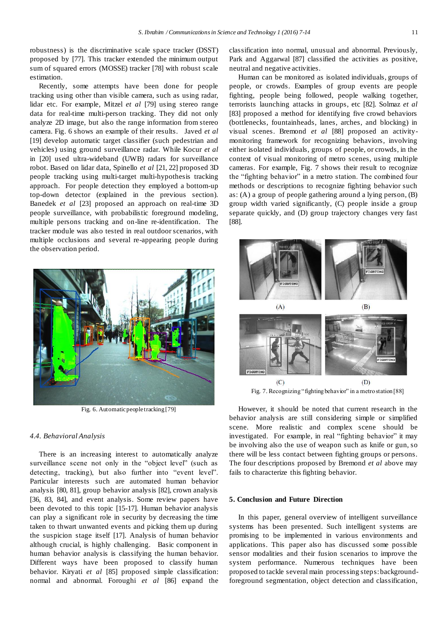robustness) is the discriminative scale space tracker (DSST) proposed by [77]. This tracker extended the minimum output sum of squared errors (MOSSE) tracker [78] with robust scale estimation.

Recently, some attempts have been done for people tracking using other than visible camera, such as using radar, lidar etc. For example, Mitzel *et al* [79] using stereo range data for real-time multi-person tracking. They did not only analyze 2D image, but also the range information from stereo camera. Fig. 6 shows an example of their results. Javed *et al* [19] develop automatic target classifier (such pedestrian and vehicles) using ground surveillance radar. While Kocur *et al* in [20] used ultra-wideband (UWB) radars for surveillance robot. Based on lidar data, Spinello *et al* [21, 22] proposed 3D people tracking using multi-target multi-hypothesis tracking approach. For people detection they employed a bottom-up top-down detector (explained in the previous section). Banedek *et al* [23] proposed an approach on real-time 3D people surveillance, with probabilistic foreground modeling, multiple persons tracking and on-line re-identification. The tracker module was also tested in real outdoor scenarios, with multiple occlusions and several re-appearing people during the observation period.



Fig. 6. Automatic people tracking [79]

#### *4.4. Behavioral Analysis*

There is an increasing interest to automatically analyze surveillance scene not only in the "object level" (such as detecting, tracking), but also further into "event level". Particular interests such are automated human behavior analysis [80, 81], group behavior analysis [82], crown analysis [36, 83, 84], and event analysis. Some review papers have been devoted to this topic [15-17]. Human behavior analysis can play a significant role in security by decreasing the time taken to thwart unwanted events and picking them up during the suspicion stage itself [17]. Analysis of human behavior although crucial, is highly challenging. Basic component in human behavior analysis is classifying the human behavior. Different ways have been proposed to classify human behavior. Kiryati *et al* [85] proposed simple classification: normal and abnormal. Foroughi *et al* [86] expand the classification into normal, unusual and abnormal. Previously, Park and Aggarwal [87] classified the activities as positive, neutral and negative activities.

Human can be monitored as isolated individuals, groups of people, or crowds. Examples of group events are people fighting, people being followed, people walking together, terrorists launching attacks in groups, etc [82]. Solmaz *et al* [83] proposed a method for identifying five crowd behaviors (bottlenecks, fountainheads, lanes, arches, and blocking) in visual scenes. Bremond *et al* [88] proposed an activitymonitoring framework for recognizing behaviors, involving either isolated individuals, groups of people, or crowds, in the context of visual monitoring of metro scenes, using multiple cameras. For example, Fig. 7 shows their result to recognize the "fighting behavior" in a metro station. The combined four methods or descriptions to recognize fighting behavior such as: (A) a group of people gathering around a lying person, (B) group width varied significantly, (C) people inside a group separate quickly, and (D) group trajectory changes very fast [88].



Fig. 7. Recognizing "fighting behavior" in a metro station [88]

However, it should be noted that current research in the behavior analysis are still considering simple or simplified scene. More realistic and complex scene should be investigated. For example, in real "fighting behavior" it may be involving also the use of weapon such as knife or gun, so there will be less contact between fighting groups or persons. The four descriptions proposed by Bremond *et al* above may fails to characterize this fighting behavior.

### **5. Conclusion and Future Direction**

In this paper, general overview of intelligent surveillance systems has been presented. Such intelligent systems are promising to be implemented in various environments and applications. This paper also has discussed some possible sensor modalities and their fusion scenarios to improve the system performance. Numerous techniques have been proposed to tackle several main processing steps: backgroundforeground segmentation, object detection and classification,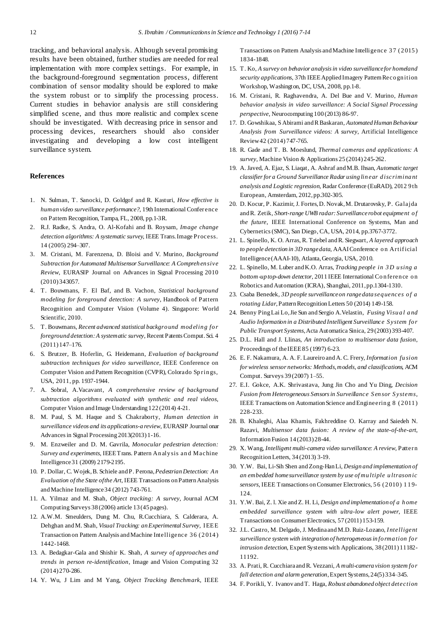tracking, and behavioral analysis. Although several promising results have been obtained, further studies are needed for real implementation with more complex settings. For example, in the background-foreground segmentation process, different combination of sensor modality should be explored to make the system robust or to simplify the processing process. Current studies in behavior analysis are still considering simplified scene, and thus more realistic and complex scene should be investigated. With decreasing price in sensor and processing devices, researchers should also consider investigating and developing a low cost intelligent surveillance system.

#### **References**

- 1. N. Sulman, T. Sanocki, D. Goldgof and R. Kasturi, *How effective is human video surveillance performance?*, 19th International Conference on Pattern Recognition*,* Tampa, FL, 2008, pp.1-3R.
- 2. R.J. Radke, S. Andra, O. Al-Kofahi and B. Roysam, *Image change detection algorithms: A systematic survey*, IEEE Trans.Image Process. 14 (2005) 294–307.
- 3. M. Cristani, M. Farenzena, D. Bloisi and V. Murino, *Background Subtraction for Automated Multisensor Surveillance: A Compreh en sive Review*, EURASIP Journal on Advances in Signal Processing 2010 (2010) 343057.
- 4. T. Bouwmans, F. El Baf, and B. Vachon, *Statistical background modeling for foreground detection: A survey*, Handbook of Pattern Recognition and Computer Vision (Volume 4). Singapore: World Scientific, 2010.
- 5. T. Bouwmans, *Recent advanced statistical backgro und mod elin g fo r foreground detection:A systematic survey*, Recent PatentsComput.Sci. 4 (2011) 147–176.
- 6. S. Brutzer, B. Hoferlin, G. Heidemann, *Evaluation of background subtraction techniques for video surveillance*, IEEE Conference on Computer Vision and Pattern Recognition (CVPR), Colorado Springs, USA, 2011, pp. 1937-1944.
- 7. A. Sobral, A.Vacavant, *A comprehensive review of background subtraction algorithms evaluated with synthetic and real videos*, Computer Vision and Image Understanding 122 (2014) 4-21.
- 8. M. Paul, S. M. Haque and S. Chakraborty, *Human detection in surveillance videos and its applications-a review*, EURASIP Journal onar Advancesin Signal Processing 2013(2013) 1-16.
- 9. M. Enzweiler and D. M. Gavrila, *Monocular pedestrian detection: Survey and experiments*, IEEETrans. Pattern An aly sis an d Machine Intelligence31 (2009) 2179-2195.
- 10. P. Dollar, C. Wojek,B. Schiele and P. Perona,*Pedestrian Detection: An Evaluation of the State ofthe Art*, IEEE Transactions onPatternAnalysis andMachine Intelligence34 (2012) 743-761.
- 11. A. Yilmaz and M. Shah, *Object tracking: A survey*, Journal ACM Computing Surveys 38 (2006) article 13 (45 pages).
- 12. A.W.M. Smeulders, Dung M. Chu, R.Cucchiara, S. Calderara, A. Dehghan andM. Shah, *Visual Tracking: anExperimental Survey*, IEEE Transaction on Pattern Analysis andMachine Intelligence 3 6 ( 2 014 ) 1442-1468.
- 13. A. Bedagkar-Gala and Shishir K. Shah, *A survey of approaches and trends in person re-identification*, Image and Vision Computing 32 (2014)270-286.
- 14. Y. Wu, J Lim and M Yang, *Object Tracking Benchmark*, IEEE

Transactions on Pattern Analysis and Machine Intelligence 37 (2015) 1834-1848.

- 15. T. Ko, *A survey on behavior analysisin video surveillancefor homeland security applications*, 37th IEEEApplied Imagery PatternReco gn ition Workshop, Washington, DC, USA, 2008, pp.1-8.
- 16. M. Cristani, R. Raghavendra, A. Del Bue and V. Murino, *Human behavior analysis in video surveillance: A Social Signal Processing perspective*, Neurocomputing 100 (2013) 86-97.
- 17. D. Gowshikaa, S Abirami andRBaskaran, *Automated HumanBehaviour Analysis from Surveillance videos: A survey*, Artificial Intelligence Review42 (2014) 747-765.
- 18. R. Gade and T. B. Moeslund, *Thermal cameras and applications: A* survey, Machine Vision & Applications 25 (2014) 245-262.
- 19. A. Javed, A. Ejaz, S. Liaqat, A. Ashraf andM.B. Ihsan, *Automatic target classifierfor a Ground Surveillance Radar using lin ear d iscrimina nt analysis and Logistic regression*, Radar Conference (EuRAD), 2012 9 th European, Amsterdam, 2012,pp.302-305.
- 20. D. Kocur, P. Kazimir, J. Fortes,D. Novak,M. Drutarovsky, P. Galajda andR. Zetik, *Short-range UWB radar: Surveillancerobot equipment o f the future*, IEEE International Conference on Systems, Man and Cybernetics(SMC), San Diego, CA, USA, 2014, pp.3767-3772.
- 21. L. Spinello, K. O. Arras, R. Triebel andR. Siegwart, *A layered approach to people detection in 3D rangedata*, AAAIConference o n Artificial Intelligence (AAAI-10), Atlanta,Georgia, USA, 2010.
- 22. L. Spinello, M. Luber andK.O. Arras, *Tracking people in 3 D u sing a bottom-up top-down detector*, 2011 IEEE International Co n feren ce o n Robotics andAutomation (ICRA), Shanghai, 2011,pp.1304-1310.
- 23. Csaba Benedek, *3D people surveillanceon rangedata seq uences o f a rotating Lidar*, Pattern Recognition Letters 50 (2014) 149-158.
- 24. Benny PingLai Lo,Jie Sun andSergio A.Velastin, *Fusing Visu a l a nd Audio Information in a Distributed Intelligent Surveillance S ystem fo r Public Transport Systems*,Acta Automatica Sinica, 29 (2003)393-407.
- 25. D.L. Hall and J. Llinas, *An introduction to multisensor data fusion*, Proceedings of theIEEE85 (1997) 6-23.
- 26. E. F. Nakamura, A. A. F. Laureiro andA. C. Frery, *Information fu sion forwireless sensor networks: Methods,models, and classifications*, ACM Comput. Surveys 39 (2007) 1–55.
- 27. E.I. Gokce, A.K. Shrivastava, Jung Jin Cho and Yu Ding, *Decision Fusion from Heterogeneous Sensorsin Surveillance S en sor S ystems*, IEEE Transactions on Automation Science andEngineerin g 8 (2 011 ) 228-233.
- 28. B. Khaleghi, Alaa Khamis, Fakhreddine O. Karray and Saiedeh N. Razavi, *Multisensor data fusion: A review of the state-of-the-art*, Information Fusion 14 (2013)28-44.
- 29. X. Wang, *Intelligent multi-camera video surveillance: A review*, Pattern RecognitionLetters, 34 (2013) 3-19.
- 30. Y.W. Bai, Li-Sih Shen andZong-HanLi, *Design and implementation of an embedded homesurveillance system by use of mu ltiple u ltrason ic sensors*, IEEE Transactions onConsumer Electronics, 5 6 (2 010 ) 119- 124.
- 31. Y.W. Bai, Z. l. Xie andZ. H. Li, *Design and implementation of a h ome embedded surveillance system with ultra-low alert power*, IEEE Transactions on ConsumerElectronics, 57 (2011) 153-159.
- 32. J.L. Castro, M. Delgado, J. MedinaandM.D. Ruiz-Lozano, *Intelligent surveillance system with integration of heterogeneousin fo rma tion fo r intrusion detection*, Expert Systems with Applications, 38 (2011) 11182-11192.
- 33. A. Prati, R. CucchiaraandR. Vezzani, *A multi-camera vision system fo r fall detection and alarm generation*,Expert Systems,24(5) 334–345.
- 34. F. Porikli, Y. Ivanov andT. Haga, *Robust abandoned object detection*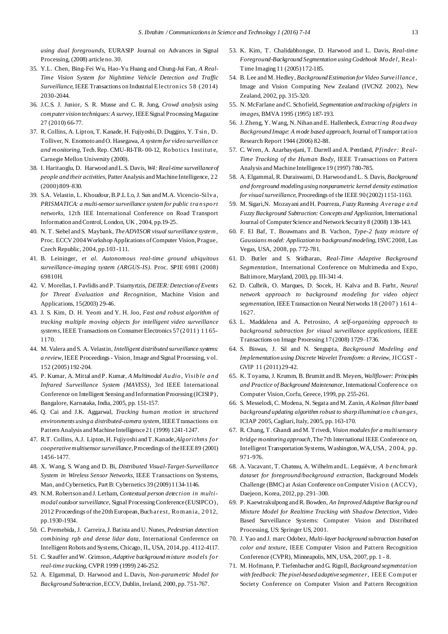*using dual foregrounds*, EURASIP Journal on Advances in Signal Processing, (2008) articleno.30.

- 35. Y.L. Chen, Bing-Fei Wu, Hao-Yu Huang and Chung-Jui Fan, *A Real-Time Vision System for Nighttime Vehicle Detection and Traffic Surveillance*, IEEE Transactions on Industrial Electron ics 5 8 (20 14) 2030-2044.
- 36. J.C.S. J. Junior, S. R. Musse and C. R. Jung, *Crowd analysis using computer vision techniques:A survey*, IEEESignal ProcessingMagazine 27 (2010) 66-77.
- 37. R. Collins, A. Lipton, T. Kanade, H. Fujiyoshi,D. Duggins, Y. Tsin , D. Tolliver, N. Enomoto andO. Hasegawa, *A system for video surveillan ce and monitoring*, Tech.Rep. CMU-RI-TR- 00-12, Ro bo tics Institut e, Carnegie Mellon University (2000).
- 38. I. Haritaoglu, D. Harwood andL.S. Davis, *W4: Real-time surveillanceof people and their activities*, Patter Analysis and Machine Intelligence, 22 (2000) 809–830.
- 39. S.A. Velastin, L. Khoudour,B.P.L Lo, J. Sun andM.A. Vicencio-Silv a, *PRISMATICA: a multi-sensorsurveillance system for public tra n spo rt networks*, 12th IEE International Conference on Road Transport Information andControl, London, UK , 2004, pp.19-25.
- 40. N. T. Siebel andS. Maybank, *TheADVISOR visualsurveillance system,* Proc. ECCV 2004 Workshop Applications of Computer Vision, Prague, Czech Republic, 2004,pp.103 -111.
- 41. B. Leininger, *et al*. *Autonomous real-time ground ubiquitous surveillance-imaging system (ARGUS-IS)*. Proc. SPIE 6981 (2008) 69810H.
- 42. V. Morellas, I. Pavlidis andP. Tsiamyrtzis, *DETER:Detection of Events for Threat Evaluation and Recognition*, Machine Vision and Applications, 15(2003) 29-46.
- 43. J. S. Kim, D. H. Yeom and Y. H. Joo, *Fast and robust algorithm of tracking multiple moving objects for intelligent video surveillance systems*, IEEE Transactions on Consumer Electronics 57 (2011) 1165-1170.
- 44. M. Valera and S. A. Velastin, *Intelligent distributed surveillance systems: a review*, IEEE Proceedings- Vision, Image and Signal Processing, v ol. 152 (2005) 192-204.
- 45. P. Kumar, A. Mittal and P. Kumar, *A Multimodal Au dio , Visib le and Infrared Surveillance System (MAVISS)*, 3rd IEEE International Conference on Intelligent Sensing and Information Processing (ICISIP), Bangalore, Karnataka, India, 2005, pp. 151-157.
- 46. Q. Cai and J.K. Aggarwal, *Tracking human motion in structured environments using a distributed-camera system*, IEEETransactions o n PatternAnalysis andMachineIntelligence21 (1999) 1241-1247.
- 47. R.T. Collins, A.J. Lipton,H. Fujiyoshi andT.Kanade,*Alg orithms fo r cooperativemultisensorsurveillance*,Proceedings of theIEEE89 (2001) 1456-1477.
- 48. X. Wang, S. Wang and D. Bi, *Distributed Visual-Target-Surveillance System in Wireless Sensor Networks*, IEEE Transactions on Systems, Man, andCybernetics, Part B: Cybernetics 39 (2009) 1134-1146.
- 49. N.M. Robertson and J. Letham, *Contextual person detection in multimodal outdoorsurveillance*, Signal ProcessingConference (EUSIPCO), 2012 Proceedings of the20thEuropean,Buch arest, Ro m an ia, 2 0 12, pp.1930-1934.
- 50. C. Premebida, J. Carreira,J. Batista andU. Nunes, *Pedestrian detection combining rgb and dense lidar data*, International Conference on Intelligent Robots and Systems, Chicago, IL, USA, 2014,pp. 4112-4117.
- 51. C. Stauffer andW. Grimson, *Adaptive backgroundmixture mod els fo r real-time tracking*, CVPR1999 (1999) 246-252.
- 52. A. Elgammal, D. Harwood and L.Davis, *Non-parametric Model for Background Subtraction*,ECCV, Dublin, Ireland, 2000,pp.751-767.
- 53. K. Kim, T. Chalidabhongse, D. Harwood and L. Davis, *Real-time Foreground-Background Segmentation usingCodebook Mo del*, Real-Time Imaging 11 (2005)172-185.
- 54. B. Lee andM. Hedley, *BackgroundEstimation for Video Surveillance* , Image and Vision Computing New Zealand (IVCNZ 2002), New Zealand, 2002, pp. 315-320.
- 55. N. McFarlane andC. Schofield, *Segmentation and tracking of piglets in images,* BMVA 1995 (1995) 187-193.
- 56. J. Zheng, Y. Wang, N. Nihan andE. Hallenbeck, *Extracting Roa dway Background Image: A mode based approach*, Journal ofTransportatio n Research Report 1944 (2006) 82-88.
- 57. C. Wren, A. Azarbayejani, T. Darrell andA. Pentland, *Pfinder: Real-Time Tracking of the Human Body*, IEEE Transactions on Pattern Analysis andMachine Intelligence19 (1997) 780-785.
- 58. A. Elgammal, R. Duraiswami, D. Harwood andL. S. Davis, *Background and foreground modeling using nonparametric kernel density estimation for visualsurveillance*, Proceedings of the IEEE 90 (2002) 1151-1163.
- 59. M. Sigari,N. Mozayani andH. Pourreza, *Fuzzy Running Averag e and Fuzzy Background Subtraction: Concepts and Application*, International Journal of Computer Science and Network Security 8 (2008) 138-143.
- 60. F. El Baf, T. Bouwmans and B. Vachon, *Type-2 fuzzy mixture of Gaussians model: Application to background modeling*, ISVC2008, Las Vegas, USA, 2008, pp. 772-781.
- 61. D. Butler and S. Sridharan, *Real-Time Adaptive Background Segmentation*, International Conference on Multimedia and Expo, Baltimore,Maryland, 2003, pp. III-341-4.
- 62. D. Culbrik, O. Marques, D. Socek, H. Kalva and B. Furht, *Neural network approach to background modeling for video object segmentation*, IEEETransaction on Neural Networks 18 (20 07 ) 1 61 4– 1627.
- 63. L. Maddalena and A. Petrosino, *A self-organizing approach to background subtraction for visual surveillance applications*, IEEE Transactions on Image Processing 17 (2008) 1729–1736.
- 64. S. Biswas, J. Sil and N. Sengupta, *Background Modeling and Implementation using Discrete Wavelet Transform: a Review*, JICGST - GVIP 11 (2011) 29-42.
- 65. K. Toyama, J. Krumm, B. Brumitt andB. Meyers, *Wallflower: Principles and Practice of Background Maintenance*, International Conference o n Computer Vision,Corfu, Greece,1999, pp. 255-261.
- 66. S. Messelodi, C. Modena, N. Segata andM. Zanin, *A Kalman filter based background updating algorithm robust to sharp illuminatio n ch an ges*, ICIAP 2005, Cagliari,Italy, 2005, pp. 163-170.
- 67. R. Chang, T. Ghandi andM. Trivedi, *Vision modulesfor a multisensory bridge monitoring approach*,The7th International IEEE Conference on, Intelligent Transportation Systems, Washington, WA, USA, 2004, pp. 971-976.
- 68. A. Vacavant, T. Chateau, A. WilhelmandL. Lequièvre, *A b enchmark dataset for foreground/background extraction*, Background Models Challenge (BMC) at Asian Conference on Computer Vision (ACCV), Daejeon, Korea, 2012,pp.291–300.
- 69. P. Kaewtrakulpong andR. Bowden, *An ImprovedAdaptive Backgrou nd Mixture Model for Realtime Tracking with Shadow Detection*, Video Based Surveillance Systems: Computer Vision and Distributed Processing, US: Springer US, 2001.
- 70. J. Yao and J. marc Odobez, *Multi-layer background subtraction based on color and texture*, IEEE Computer Vision and Pattern Recognition Conference (CVPR), Minneapolis, MN, USA, 2007, pp. 1 - 8.
- 71. M. Hofmann, P. Tiefenbacher andG. Rigoll, *Background segmentation with feedback: The pixel-based adaptivesegmenter*, IEEE Co m put er Society Conference on Computer Vision and Pattern Recognition